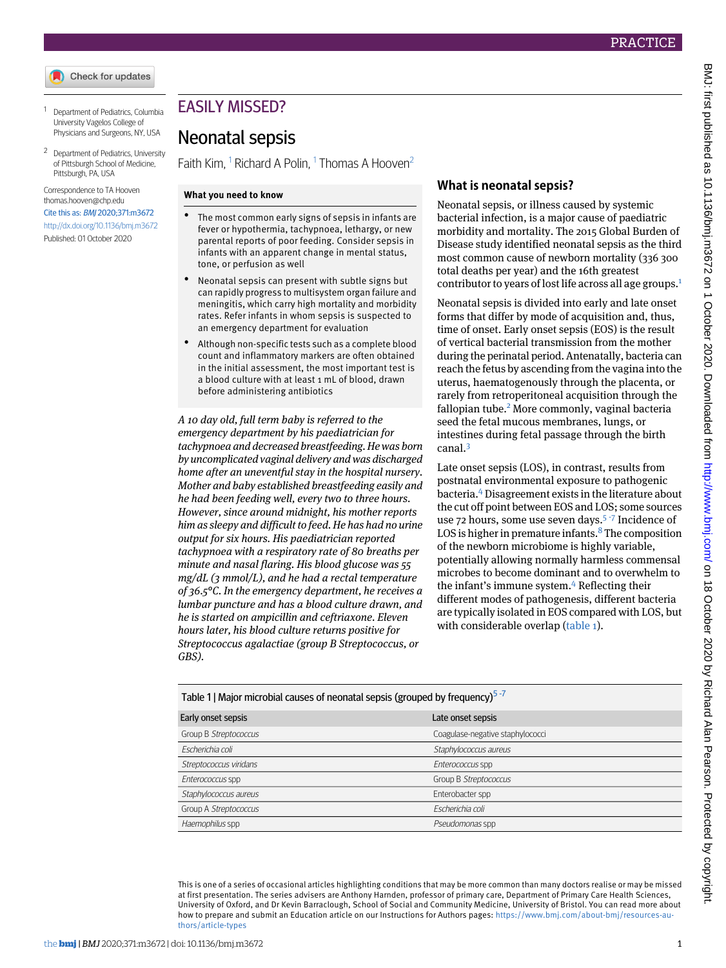- <span id="page-0-1"></span><span id="page-0-0"></span><sup>1</sup> Department of Pediatrics, Columbia University Vagelos College of Physicians and Surgeons, NY, USA
- <sup>2</sup> Department of Pediatrics, University of Pittsburgh School of Medicine, Pittsburgh, PA, USA

Correspondence to TA Hooven [thomas.hooven@chp.edu](mailto:thomas.hooven@chp.edu)

Cite this as: BMJ 2020;371:m3672 <http://dx.doi.org/10.1136/bmj.m3672> Published: 01 October 2020

# EASILY MISSED?

## Neonatal sepsis

Faith Kim,  $^1$  $^1$  Richard A Polin,  $^1$  Thomas A Hooven $^2$  $^2$ 

#### **What you need to know**

- The most common early signs of sepsis in infants are fever or hypothermia, tachypnoea, lethargy, or new parental reports of poor feeding. Consider sepsis in infants with an apparent change in mental status, tone, or perfusion as well
- Neonatal sepsis can present with subtle signs but can rapidly progress to multisystem organ failure and meningitis, which carry high mortality and morbidity rates. Refer infants in whom sepsis is suspected to an emergency department for evaluation
- Although non-specific tests such as a complete blood count and inflammatory markers are often obtained in the initial assessment, the most important test is a blood culture with at least 1 mL of blood, drawn before administering antibiotics

*A 10 day old, full term baby is referred to the emergency department by his paediatrician for tachypnoea and decreased breastfeeding. He was born by uncomplicated vaginal delivery and was discharged home after an uneventful stay in the hospital nursery. Mother and baby established breastfeeding easily and he had been feeding well, every two to three hours. However, since around midnight, his mother reports him as sleepy and difficult to feed. He has had no urine output for six hours. His paediatrician reported tachypnoea with a respiratory rate of 80 breaths per minute and nasal flaring. His blood glucose was 55 mg/dL (3 mmol/L), and he had a rectal temperature of 36.5°C. In the emergency department, he receives a lumbar puncture and has a blood culture drawn, and he is started on ampicillin and ceftriaxone. Eleven hours later, his blood culture returns positive for Streptococcus agalactiae (group B Streptococcus, or GBS).*

#### **What is neonatal sepsis?**

Neonatal sepsis, or illness caused by systemic bacterial infection, is a major cause of paediatric morbidity and mortality. The 2015 Global Burden of Disease study identified neonatal sepsis as the third most common cause of newborn mortality (336 300 total deaths per year) and the 16th greatest contributor to years of lost life across all age groups.[1](#page-2-0)

Neonatal sepsis is divided into early and late onset forms that differ by mode of acquisition and, thus, time of onset. Early onset sepsis (EOS) is the result of vertical bacterial transmission from the mother during the perinatal period. Antenatally, bacteria can reach the fetus by ascending from the vagina into the uterus, haematogenously through the placenta, or rarely from retroperitoneal acquisition through the fallopian tube.<sup>[2](#page-2-1)</sup> More commonly, vaginal bacteria seed the fetal mucous membranes, lungs, or intestines during fetal passage through the birth canal.[3](#page-2-2)

Late onset sepsis (LOS), in contrast, results from postnatal environmental exposure to pathogenic bacteria.[4](#page-2-3) Disagreement exists in the literature about the cut off point between EOS and LOS; some sources use 72 hours, some use seven days.<sup>[5](#page-3-0)-[7](#page-3-2)</sup> Incidence of LOS is higher in premature infants. $8$  The composition of the newborn microbiome is highly variable, potentially allowing normally harmless commensal microbes to become dominant and to overwhelm to the infant's immune system.<sup>[4](#page-2-3)</sup> Reflecting their different modes of pathogenesis, different bacteria are typically isolated in EOS compared with LOS, but with considerable overlap ([table 1\)](#page-0-2).

<span id="page-0-2"></span>Table 1 | Major microbial causes of neonatal sepsis (grouped by frequency)<sup>[5](#page-3-0)-[7](#page-3-2)</sup>

| Early onset sepsis     | Late onset sepsis                |
|------------------------|----------------------------------|
| Group B Streptococcus  | Coagulase-negative staphylococci |
| Escherichia coli       | Staphylococcus aureus            |
| Streptococcus viridans | Enterococcus spp                 |
| Enterococcus spp       | Group B Streptococcus            |
| Staphylococcus aureus  | Enterobacter spp                 |
| Group A Streptococcus  | Escherichia coli                 |
| Haemophilus spp        | Pseudomonas spp                  |

This is one of a series of occasional articles highlighting conditions that may be more common than many doctors realise or may be missed at first presentation. The series advisers are Anthony Harnden, professor of primary care, Department of Primary Care Health Sciences, University of Oxford, and Dr Kevin Barraclough, School of Social and Community Medicine, University of Bristol. You can read more about how to prepare and submit an Education article on our Instructions for Authors pages: [https://www.bmj.com/about-bmj/resources-au](https://www.bmj.com/about-bmj/resources-authors/article-types)[thors/article-types](https://www.bmj.com/about-bmj/resources-authors/article-types)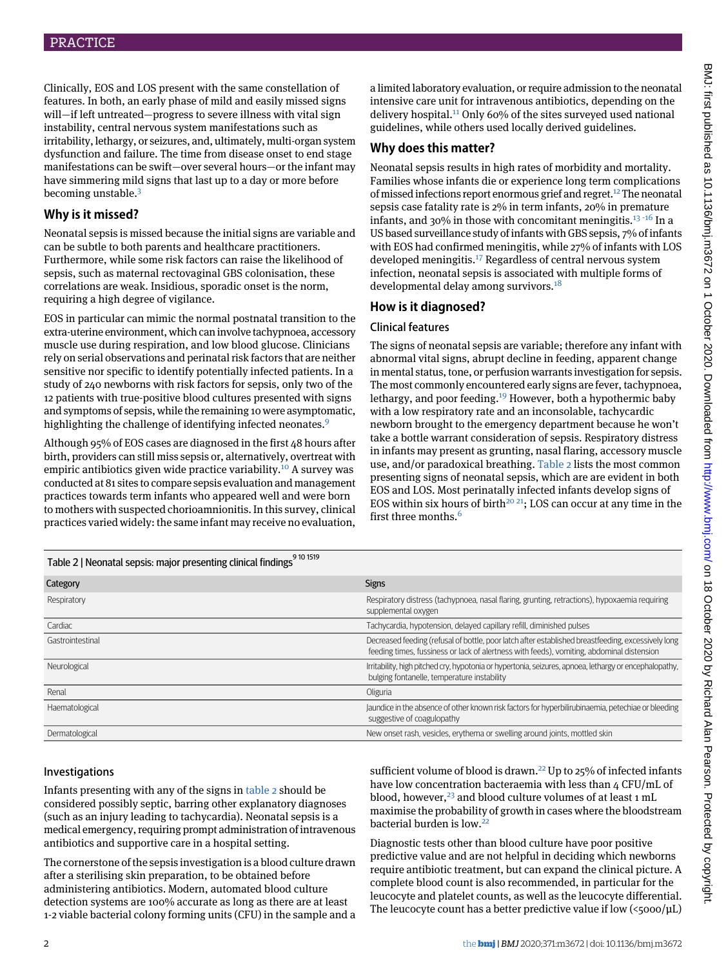Clinically, EOS and LOS present with the same constellation of features. In both, an early phase of mild and easily missed signs will—if left untreated—progress to severe illness with vital sign instability, central nervous system manifestations such as irritability, lethargy, or seizures, and, ultimately, multi-organ system dysfunction and failure. The time from disease onset to end stage manifestations can be swift—over several hours—or the infant may have simmering mild signs that last up to a day or more before becoming unstable.[3](#page-2-2)

## **Why is it missed?**

Neonatal sepsis is missed because the initial signs are variable and can be subtle to both parents and healthcare practitioners. Furthermore, while some risk factors can raise the likelihood of sepsis, such as maternal rectovaginal GBS colonisation, these correlations are weak. Insidious, sporadic onset is the norm, requiring a high degree of vigilance.

EOS in particular can mimic the normal postnatal transition to the extra-uterine environment, which caninvolve tachypnoea, accessory muscle use during respiration, and low blood glucose. Clinicians rely on serial observations and perinatal risk factors that are neither sensitive nor specific to identify potentially infected patients. In a study of 240 newborns with risk factors for sepsis, only two of the 12 patients with true-positive blood cultures presented with signs and symptoms of sepsis, while the remaining 10 were asymptomatic, highlighting the challenge of identifying infected neonates.<sup>[9](#page-3-4)</sup>

<span id="page-1-0"></span>Although 95% of EOS cases are diagnosed in the first 48 hours after birth, providers can still miss sepsis or, alternatively, overtreat with empiric antibiotics given wide practice variability.<sup>[10](#page-3-5)</sup> A survey was conducted at 81 sites to compare sepsis evaluation and management practices towards term infants who appeared well and were born to mothers with suspected chorioamnionitis. In this survey, clinical practices varied widely: the same infant may receive no evaluation,

a limited laboratory evaluation, or require admission to the neonatal intensive care unit for intravenous antibiotics, depending on the delivery hospital.<sup>[11](#page-3-6)</sup> Only 60% of the sites surveyed used national guidelines, while others used locally derived guidelines.

## **Why does this matter?**

Neonatal sepsis results in high rates of morbidity and mortality. Families whose infants die or experience long term complications of missed infections report enormous grief and regret.<sup>[12](#page-3-7)</sup> The neonatal sepsis case fatality rate is 2% in term infants, 20% in premature infants, and 30% in those with concomitant meningitis.<sup>[13](#page-3-8) [-](#page-3-9)[16](#page-3-10)</sup> In a US based surveillance study of infants with GBS sepsis, 7% of infants with EOS had confirmed meningitis, while 27% of infants with LOS developed meningitis.[17](#page-3-11) Regardless of central nervous system infection, neonatal sepsis is associated with multiple forms of developmental delay among survivors.<sup>[18](#page-3-12)</sup>

## **How is it diagnosed?**

## Clinical features

The signs of neonatal sepsis are variable; therefore any infant with abnormal vital signs, abrupt decline in feeding, apparent change in mental status, tone, or perfusion warrants investigation for sepsis. The most commonly encountered early signs are fever, tachypnoea, lethargy, and poor feeding.<sup>[19](#page-3-13)</sup> However, both a hypothermic baby with a low respiratory rate and an inconsolable, tachycardic newborn brought to the emergency department because he won't take a bottle warrant consideration of sepsis. Respiratory distress in infants may present as grunting, nasal flaring, accessory muscle use, and/or paradoxical breathing. [Table 2](#page-1-0) lists the most common presenting signs of neonatal sepsis, which are are evident in both EOS and LOS. Most perinatally infected infants develop signs of EOS within six hours of birth<sup>[20](#page-3-14) [21](#page-3-15)</sup>; LOS can occur at any time in the first three months.<sup>[6](#page-3-1)</sup>

| Table 2   Neonatal sepsis: major presenting clinical findings <sup>9101519</sup> |                                                                                                                                                                                                 |
|----------------------------------------------------------------------------------|-------------------------------------------------------------------------------------------------------------------------------------------------------------------------------------------------|
| Category                                                                         | <b>Signs</b>                                                                                                                                                                                    |
| Respiratory                                                                      | Respiratory distress (tachypnoea, nasal flaring, grunting, retractions), hypoxaemia requiring<br>supplemental oxygen                                                                            |
| Cardiac                                                                          | Tachycardia, hypotension, delayed capillary refill, diminished pulses                                                                                                                           |
| Gastrointestinal                                                                 | Decreased feeding (refusal of bottle, poor latch after established breastfeeding, excessively long<br>feeding times, fussiness or lack of alertness with feeds), vomiting, abdominal distension |
| Neurological                                                                     | Irritability, high pitched cry, hypotonia or hypertonia, seizures, apnoea, lethargy or encephalopathy,<br>bulging fontanelle, temperature instability                                           |
| Renal                                                                            | Oliguria                                                                                                                                                                                        |
| Haematological                                                                   | Jaundice in the absence of other known risk factors for hyperbilirubinaemia, petechiae or bleeding<br>suggestive of coagulopathy                                                                |
| Dermatological                                                                   | New onset rash, vesicles, erythema or swelling around joints, mottled skin                                                                                                                      |

## Investigations

Infants presenting with any of the signs in [table 2](#page-1-0) should be considered possibly septic, barring other explanatory diagnoses (such as an injury leading to tachycardia). Neonatal sepsis is a medical emergency, requiring prompt administration of intravenous antibiotics and supportive care in a hospital setting.

The cornerstone of the sepsis investigation is a blood culture drawn after a sterilising skin preparation, to be obtained before administering antibiotics. Modern, automated blood culture detection systems are 100% accurate as long as there are at least 1-2 viable bacterial colony forming units (CFU) in the sample and a sufficient volume of blood is drawn.<sup>[22](#page-3-16)</sup> Up to 25% of infected infants have low concentration bacteraemia with less than 4 CFU/mL of blood, however,<sup>[23](#page-3-17)</sup> and blood culture volumes of at least 1 mL maximise the probability of growth in cases where the bloodstream bacterial burden is low.<sup>[22](#page-3-16)</sup>

Diagnostic tests other than blood culture have poor positive predictive value and are not helpful in deciding which newborns require antibiotic treatment, but can expand the clinical picture. A complete blood count is also recommended, in particular for the leucocyte and platelet counts, as well as the leucocyte differential. The leucocyte count has a better predictive value if low  $\langle$ 5000/ $\mu$ L)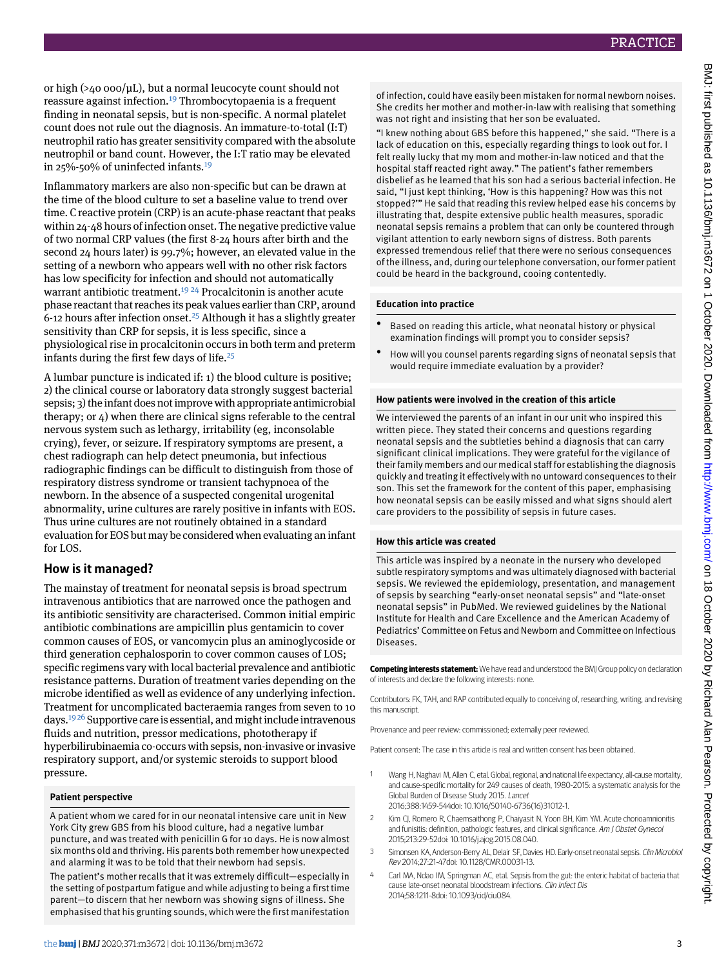or high (>40 000/μL), but a normal leucocyte count should not reassure against infection.[19](#page-3-13) Thrombocytopaenia is a frequent finding in neonatal sepsis, but is non-specific. A normal platelet count does not rule out the diagnosis. An immature-to-total (I:T) neutrophil ratio has greater sensitivity compared with the absolute neutrophil or band count. However, the I:T ratio may be elevated in 25%-50% of uninfected infants.<sup>[19](#page-3-13)</sup>

Inflammatory markers are also non-specific but can be drawn at the time of the blood culture to set a baseline value to trend over time. C reactive protein (CRP) is an acute-phase reactant that peaks within 24-48 hours of infection onset. The negative predictive value of two normal CRP values (the first 8-24 hours after birth and the second 24 hours later) is 99.7%; however, an elevated value in the setting of a newborn who appears well with no other risk factors has low specificity for infection and should not automatically warrant antibiotic treatment.<sup>[19](#page-3-13) [24](#page-3-18)</sup> Procalcitonin is another acute phase reactant that reaches its peak values earlier than CRP, around 6-12 hours after infection onset.<sup>[25](#page-3-19)</sup> Although it has a slightly greater sensitivity than CRP for sepsis, it is less specific, since a physiological rise in procalcitonin occurs in both term and preterm infants during the first few days of life. $25$ 

A lumbar puncture is indicated if: 1) the blood culture is positive; 2) the clinical course or laboratory data strongly suggest bacterial sepsis; 3) the infant does not improve with appropriate antimicrobial therapy; or 4) when there are clinical signs referable to the central nervous system such as lethargy, irritability (eg, inconsolable crying), fever, or seizure. If respiratory symptoms are present, a chest radiograph can help detect pneumonia, but infectious radiographic findings can be difficult to distinguish from those of respiratory distress syndrome or transient tachypnoea of the newborn. In the absence of a suspected congenital urogenital abnormality, urine cultures are rarely positive in infants with EOS. Thus urine cultures are not routinely obtained in a standard evaluation for EOS but may be considered when evaluating an infant for LOS.

#### **How is it managed?**

The mainstay of treatment for neonatal sepsis is broad spectrum intravenous antibiotics that are narrowed once the pathogen and its antibiotic sensitivity are characterised. Common initial empiric antibiotic combinations are ampicillin plus gentamicin to cover common causes of EOS, or vancomycin plus an aminoglycoside or third generation cephalosporin to cover common causes of LOS; specific regimens vary with local bacterial prevalence and antibiotic resistance patterns. Duration of treatment varies depending on the microbe identified as well as evidence of any underlying infection. Treatment for uncomplicated bacteraemia ranges from seven to 10 days.[19](#page-3-13) [26](#page-3-20) Supportive care is essential, and might include intravenous fluids and nutrition, pressor medications, phototherapy if hyperbilirubinaemia co-occurs with sepsis, non-invasive or invasive respiratory support, and/or systemic steroids to support blood pressure.

#### **Patient perspective**

A patient whom we cared for in our neonatal intensive care unit in New York City grew GBS from his blood culture, had a negative lumbar puncture, and was treated with penicillin G for 10 days. He is now almost six months old and thriving. His parents both remember how unexpected and alarming it was to be told that their newborn had sepsis.

The patient's mother recalls that it was extremely difficult—especially in the setting of postpartum fatigue and while adjusting to being a first time parent—to discern that her newborn was showing signs of illness. She emphasised that his grunting sounds, which were the first manifestation

of infection, could have easily been mistaken for normal newborn noises. She credits her mother and mother-in-law with realising that something was not right and insisting that her son be evaluated.

"I knew nothing about GBS before this happened," she said. "There is a lack of education on this, especially regarding things to look out for. I felt really lucky that my mom and mother-in-law noticed and that the hospital staff reacted right away." The patient's father remembers disbelief as he learned that his son had a serious bacterial infection. He said, "I just kept thinking, 'How is this happening? How was this not stopped?'" He said that reading this review helped ease his concerns by illustrating that, despite extensive public health measures, sporadic neonatal sepsis remains a problem that can only be countered through vigilant attention to early newborn signs of distress. Both parents expressed tremendous relief that there were no serious consequences of the illness, and, during our telephone conversation, our former patient could be heard in the background, cooing contentedly.

#### **Education into practice**

- Based on reading this article, what neonatal history or physical examination findings will prompt you to consider sepsis?
- How will you counsel parents regarding signs of neonatal sepsis that would require immediate evaluation by a provider?

#### **How patients were involved in the creation of this article**

We interviewed the parents of an infant in our unit who inspired this written piece. They stated their concerns and questions regarding neonatal sepsis and the subtleties behind a diagnosis that can carry significant clinical implications. They were grateful for the vigilance of their family members and our medical staff for establishing the diagnosis quickly and treating it effectively with no untoward consequences to their son. This set the framework for the content of this paper, emphasising how neonatal sepsis can be easily missed and what signs should alert care providers to the possibility of sepsis in future cases.

#### **How this article was created**

This article was inspired by a neonate in the nursery who developed subtle respiratory symptoms and was ultimately diagnosed with bacterial sepsis. We reviewed the epidemiology, presentation, and management of sepsis by searching "early-onset neonatal sepsis" and "late-onset neonatal sepsis" in PubMed. We reviewed guidelines by the National Institute for Health and Care Excellence and the American Academy of Pediatrics' Committee on Fetus and Newborn and Committee on Infectious Diseases.

**Competing interests statement:**We have read and understood the BMJ Group policy on declaration of interests and declare the following interests: none.

<span id="page-2-0"></span>Contributors: FK, TAH, and RAP contributed equally to conceiving of, researching, writing, and revising this manuscript.

<span id="page-2-1"></span>Provenance and peer review: commissioned; externally peer reviewed.

<span id="page-2-2"></span>Patient consent: The case in this article is real and written consent has been obtained.

- <span id="page-2-3"></span>1 Wang H, Naghavi M, Allen C, etal. Global, regional, and national life expectancy, all-cause mortality, and cause-specific mortality for 249 causes of death, 1980-2015: a systematic analysis for the Global Burden of Disease Study 2015. Lancet 2016;388:1459-544doi: 10.1016/S0140-6736(16)31012-1.
- 2 Kim CJ, Romero R, Chaemsaithong P, Chaiyasit N, Yoon BH, Kim YM. Acute chorioamnionitis and funisitis: definition, pathologic features, and clinical significance. Am J Obstet Gynecol 2015;213:29-52doi: 10.1016/j.ajog.2015.08.040.
- Simonsen KA, Anderson-Berry AL, Delair SF, Davies HD. Early-onset neonatal sepsis. Clin Microbiol Rev 2014;27:21-47doi: 10.1128/CMR.00031-13.
- Carl MA, Ndao IM, Springman AC, etal. Sepsis from the gut: the enteric habitat of bacteria that cause late-onset neonatal bloodstream infections. Clin Infect Dis 2014;58:1211-8doi: 10.1093/cid/ciu084.